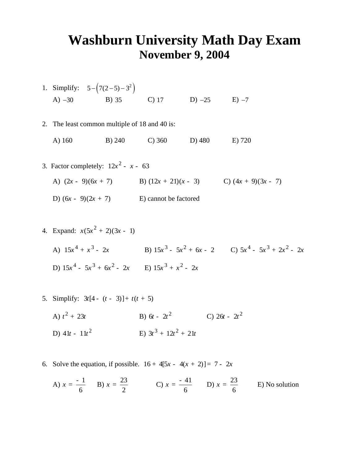## **Washburn University Math Day Exam November 9, 2004**

1. Simplify:  $5 - (7(2-5) - 3^2)$ A) −30 B) 35 C) 17 D) −25 E) −7

2. The least common multiple of 18 and 40 is:

A) 160 B) 240 C) 360 D) 480 E) 720

- 3. Factor completely:  $12x^2 x 63$ A)  $(2x - 9)(6x + 7)$  **B**)  $(12x + 21)(x - 3)$  **C**)  $(4x + 9)(3x - 7)$ D)  $(6x - 9)(2x + 7)$  *E*) cannot be factored
- 4. Expand:  $x(5x^2 + 2)(3x 1)$ A)  $15x^4 + x^3 - 2x$  <br>B)  $15x^3 - 5x^2 + 6x - 2$  <br>C)  $5x^4 - 5x^3 + 2x^2 - 2x$ D)  $15x^4 - 5x^3 + 6x^2 - 2x$  E)  $15x^3 + x^2 - 2x$
- 5. Simplify:  $3t[4 (t 3)] + t(t + 5)$ 
	- A)  $t^2 + 23t$ *t t* + 23 B) <sup>2</sup> 6 2 *t t* - C) <sup>2</sup> 26 2 *t t* - D) <sup>2</sup> 41 11 *t t* - E) 3 2 3 12 21 *ttt* + +
- 6. Solve the equation, if possible.  $16 + 4[5x 4(x + 2)] = 7 2x$

A) 
$$
x = \frac{-1}{6}
$$
 B)  $x = \frac{23}{2}$  C)  $x = \frac{-41}{6}$  D)  $x = \frac{23}{6}$  E) No solution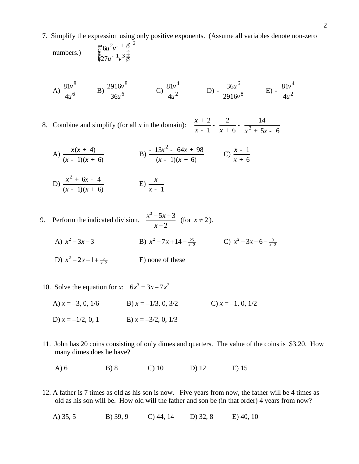7. Simplify the expression using only positive exponents. (Assume all variables denote non-zero

numbers.) 
$$
\frac{\underset{\xi}{\mathcal{E}} 6u^{2}v^{-1} \frac{\ddot{\circ}}{\frac{1}{2}}}{\underset{\xi}{\xi} 27u^{-1}v^{3} \frac{1}{\frac{1}{\phi}}}
$$

A) 
$$
\frac{81v^8}{4u^6}
$$
 \tB)  $\frac{2916v^8}{36u^6}$  \tC)  $\frac{81v^4}{4u^2}$  \tD) -  $\frac{36u^6}{2916v^8}$  \tE) -  $\frac{81v^4}{4u^2}$ 

8. Combine and simplify (for all  $x$  in the domain):

$$
\frac{x+2}{x-1} - \frac{2}{x+6} - \frac{14}{x^2+5x-6}
$$

A)  $\frac{x(x + 4)}{x^2 + 4}$  $(x - 1)(x + 6)$  $x(x)$  $(x - 1)(x)$ +  $- (1)(x +$ B)  $\frac{-13x^2 - 64x + 98}{x}$  $(x - 1)(x + 6)$  $x^2$  - 64x  $(x - 1)(x)$  $-13x^2 - 64x +$  $- (1)(x +$ C)  $\frac{x-1}{x-1}$ 6 *x x*  $\frac{-1}{+6}$ 

D) 
$$
\frac{x^2 + 6x - 4}{(x - 1)(x + 6)}
$$
 E)  $\frac{x}{x - 1}$ 

- 9. Perform the indicated division.  $\frac{x^3 5x + 3}{2}$ 2  $x^3 - 5x$ *x*  $\frac{-5x+3}{x-2}$  (for  $x \ne 2$ ).
- A)  $x^2 3x 3$  <br>B)  $x^2 7x + 14 \frac{25}{x-2}$  <br>C)  $x^2 3x 6 \frac{9}{x-2}$ 
	- D)  $x^2-2x-1+\frac{5}{x-2}$ E) none of these
	- 10. Solve the equation for *x*:  $6x^3 = 3x 7x^2$ 
		- A)  $x = -3, 0, 1/6$  B)  $x = -1/3, 0, 3/2$  C)  $x = -1, 0, 1/2$ D)  $x = -1/2$ , 0, 1 E)  $x = -3/2$ , 0, 1/3
	- 11. John has 20 coins consisting of only dimes and quarters. The value of the coins is \$3.20. How many dimes does he have?
		- A) 6 B) 8 C) 10 D) 12 E) 15
	- 12. A father is 7 times as old as his son is now. Five years from now, the father will be 4 times as old as his son will be. How old will the father and son be (in that order) 4 years from now?
		- A) 35, 5 B) 39, 9 C) 44, 14 D) 32, 8 E) 40, 10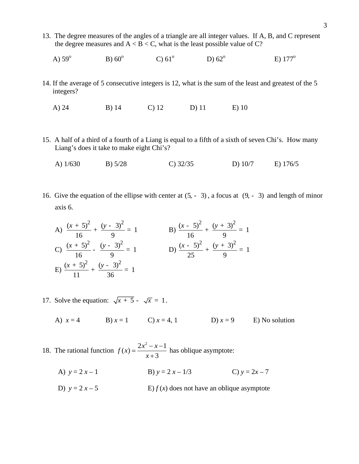- 13. The degree measures of the angles of a triangle are all integer values. If A, B, and C represent the degree measures and  $A < B < C$ , what is the least possible value of C?
	- A)  $59^{\circ}$ B)  $60^\circ$  $C$ )  $61^{\circ}$ D)  $62^\circ$ E)  $177^\circ$
- 14. If the average of 5 consecutive integers is 12, what is the sum of the least and greatest of the 5 integers?

A) 24 B) 14 C) 12 D) 11 E) 10

- 15. A half of a third of a fourth of a Liang is equal to a fifth of a sixth of seven Chi's. How many Liang's does it take to make eight Chi's?
	- A) 1/630 B) 5/28 C) 32/35 D) 10/7 E) 176/5
- 16. Give the equation of the ellipse with center at  $(5, -3)$ , a focus at  $(9, -3)$  and length of minor axis 6.

A) 
$$
\frac{(x+5)^2}{16} + \frac{(y-3)^2}{9} = 1
$$
  
\nB) 
$$
\frac{(x-5)^2}{16} + \frac{(y+3)^2}{9} = 1
$$
  
\nC) 
$$
\frac{(x+5)^2}{16} - \frac{(y-3)^2}{9} = 1
$$
  
\nD) 
$$
\frac{(x-5)^2}{25} + \frac{(y+3)^2}{9} = 1
$$
  
\nE) 
$$
\frac{(x+5)^2}{11} + \frac{(y-3)^2}{36} = 1
$$

- 17. Solve the equation:  $\sqrt{x+5}$   $\sqrt{x} = 1$ .
	- A)  $x = 4$  B)  $x = 1$  C)  $x = 4, 1$  D)  $x = 9$  E) No solution
- 18. The rational function  $f(x) = \frac{2x^2 - x - 1}{x + 3}$  $=\frac{2x^2-x-1}{x+3}$  has oblique asymptote:
	- A)  $y = 2x 1$  B)  $y = 2x 1/3$  C)  $y = 2x 7$
	- D)  $y = 2x 5$  E)  $f(x)$  does not have an oblique asymptote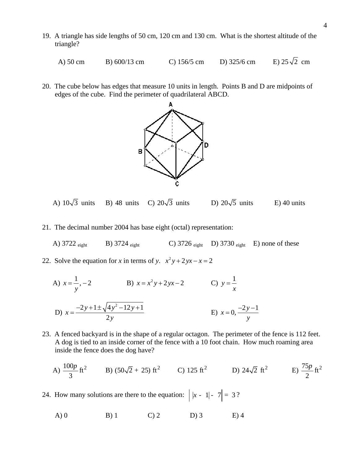- 19. A triangle has side lengths of 50 cm, 120 cm and 130 cm. What is the shortest altitude of the triangle?
	- A) 50 cm B) 600/13 cm C) 156/5 cm D) 325/6 cm E) 25 $\sqrt{2}$  cm
- 20. The cube below has edges that measure 10 units in length. Points B and D are midpoints of edges of the cube. Find the perimeter of quadrilateral ABCD.



A)  $10\sqrt{3}$  units B) 48 units C)  $20\sqrt{3}$  units D)  $20\sqrt{5}$  units E) 40 units

- 21. The decimal number 2004 has base eight (octal) representation:
	- A) 3722  $_{\text{eight}}$  B) 3724  $_{\text{eight}}$  C) 3726  $_{\text{eight}}$  D) 3730  $_{\text{eight}}$  E) none of these
- 22. Solve the equation for *x* in terms of *y*.  $x^2y + 2yx x = 2$

A) 
$$
x = \frac{1}{y}
$$
, -2  
\nB)  $x = x^2y + 2yx - 2$   
\nC)  $y = \frac{1}{x}$   
\nD)  $x = \frac{-2y + 1 \pm \sqrt{4y^2 - 12y + 1}}{2y}$   
\nE)  $x = 0, \frac{-2y - 1}{y}$ 

- 23. A fenced backyard is in the shape of a regular octagon. The perimeter of the fence is 112 feet. A dog is tied to an inside corner of the fence with a 10 foot chain. How much roaming area inside the fence does the dog have?
- A)  $\frac{100p}{2}$  ft<sup>2</sup> 3  $p^2$  B) (50 $\sqrt{2}$  + 25) ft<sup>2</sup> C) 125 ft<sup>2</sup> D) 24 $\sqrt{2}$  ft<sup>2</sup> E)  $\frac{75p}{2}$  ft<sup>2</sup> 2 *p*
- 24. How many solutions are there to the equation:  $\vert x 1 \vert 7 \vert = 3$ ?
	- A) 0 B) 1 C) 2 D) 3 E) 4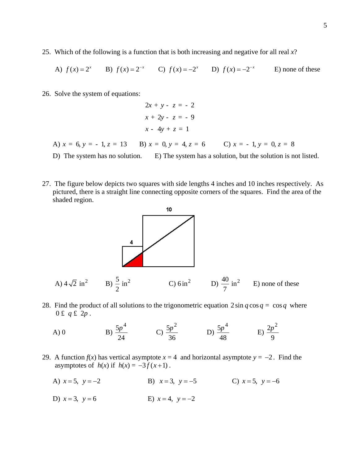25. Which of the following is a function that is both increasing and negative for all real *x*?

A) 
$$
f(x) = 2^x
$$
 B)  $f(x) = 2^{-x}$  C)  $f(x) = -2^x$  D)  $f(x) = -2^{-x}$  E) none of these

26. Solve the system of equations:

$$
2x + y - z = -2
$$
  

$$
x + 2y - z = -9
$$
  

$$
x - 4y + z = 1
$$

- A)  $x = 6$ ,  $y = -1$ ,  $z = 13$  B)  $x = 0$ ,  $y = 4$ ,  $z = 6$  C)  $x = -1$ ,  $y = 0$ ,  $z = 8$
- D) The system has no solution. E) The system has a solution, but the solution is not listed.
- 27. The figure below depicts two squares with side lengths 4 inches and 10 inches respectively. As pictured, there is a straight line connecting opposite corners of the squares. Find the area of the shaded region.



- 28. Find the product of all solutions to the trigonometric equation  $2 \sin q \cos q = \cos q$  where  $0 \t f q \t f 2p$ .
	- $A)0$  $5p^4$ 24  $\frac{p^4}{2}$  C)  $\frac{5p^2}{2}$ 36  $\frac{p^2}{2}$  D)  $\frac{5p^4}{4}$ 48  $\frac{p^4}{E}$  E)  $\frac{2p^2}{2}$ 9 *p*
- 29. A function  $f(x)$  has vertical asymptote  $x = 4$  and horizontal asymptote  $y = -2$ . Find the asymptotes of  $h(x)$  if  $h(x) = -3f(x+1)$ .
	- A)  $x = 5$ ,  $y = -2$ <br>B)  $x = 3$ ,  $y = -5$ <br>C)  $x = 5$ ,  $y = -6$
	- D)  $x = 3$ ,  $y = 6$  E)  $x = 4$ ,  $y = -2$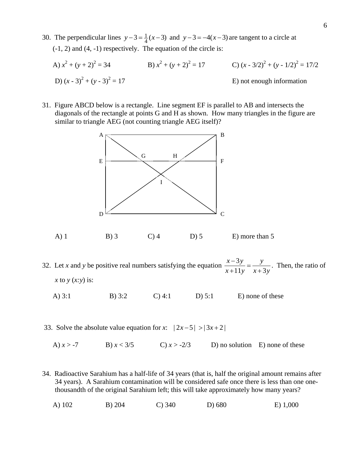30. The perpendicular lines  $y - 3 = \frac{1}{4}(x - 3)$  and  $y - 3 = -4(x - 3)$  are tangent to a circle at (-1, 2) and (4, -1) respectively. The equation of the circle is:

A) 
$$
x^2 + (y + 2)^2 = 34
$$
  
\nB)  $x^2 + (y + 2)^2 = 17$   
\nC)  $(x - 3/2)^2 + (y - 1/2)^2 = 17/2$   
\nD)  $(x - 3)^2 + (y - 3)^2 = 17$   
\nE) not enough information

31. Figure ABCD below is a rectangle. Line segment EF is parallel to AB and intersects the diagonals of the rectangle at points G and H as shown. How many triangles in the figure are similar to triangle AEG (not counting triangle AEG itself)?



A) 1 B) 3 C) 4 D) 5 E) more than 5

32. Let *x* and *y* be positive real numbers satisfying the equation  $\frac{x-3}{3}$  $11y \t x+3$  $x-3y$  *y*  $\frac{x-3y}{x+11y} = \frac{y}{x+3y}$ . Then, the ratio of *x* to *y* (*x:y*) is:

A) 3:1 B) 3:2 C) 4:1 D) 5:1 E) none of these

- 33. Solve the absolute value equation for *x*:  $|2x-5| > |3x+2|$ 
	- A)  $x > -7$  B)  $x < 3/5$  C)  $x > -2/3$  D) no solution E) none of these
- 34. Radioactive Sarahium has a half-life of 34 years (that is, half the original amount remains after 34 years). A Sarahium contamination will be considered safe once there is less than one onethousandth of the original Sarahium left; this will take approximately how many years?
- A) 102 B) 204 C) 340 D) 680 E) 1,000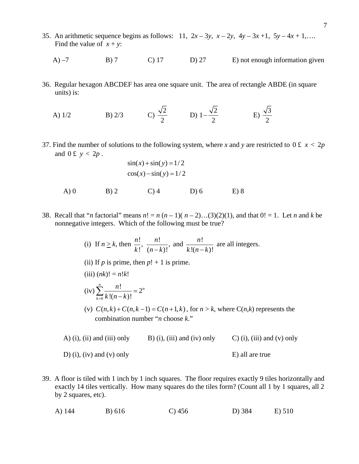- 35. An arithmetic sequence begins as follows: 11,  $2x 3y$ ,  $x 2y$ ,  $4y 3x + 1$ ,  $5y 4x + 1$ ,…. Find the value of  $x + y$ :
	- A) –7 B) 7 C) 17 D) 27 E) not enough information given
- 36. Regular hexagon ABCDEF has area one square unit. The area of rectangle ABDE (in square units) is:

A) 1/2  
B) 2/3  
C) 
$$
\frac{\sqrt{2}}{2}
$$
  
D)  $1 - \frac{\sqrt{2}}{2}$   
E)  $\frac{\sqrt{3}}{2}$ 

37. Find the number of solutions to the following system, where *x* and *y* are restricted to  $0 \le x < 2p$ and  $0 \text{ f } y < 2p$ .

$$
\sin(x) + \sin(y) = 1/2
$$
  

$$
\cos(x) - \sin(y) = 1/2
$$

- A) 0 B) 2 C) 4 D) 6 E) 8
- 38. Recall that "*n* factorial" means  $n! = n(n-1)(n-2)...(3)(2)(1)$ , and that  $0! = 1$ . Let *n* and *k* be nonnegative integers. Which of the following must be true?

\n- (i) If 
$$
n \geq k
$$
, then  $\frac{n!}{k!}$ ,  $\frac{n!}{(n-k)!}$ , and  $\frac{n!}{k!(n-k)!}$  are all integers.
\n- (ii) If *p* is prime, then *p*! + 1 is prime.
\n

$$
(iii) (nk)! = n!k!
$$

(iv) 
$$
\sum_{k=0}^{n} \frac{n!}{k!(n-k)!} = 2^{n}
$$

(v)  $C(n, k) + C(n, k - 1) = C(n + 1, k)$ , for  $n > k$ , where  $C(n, k)$  represents the combination number "*n* choose *k*."

A) (i), (ii) and (iii) only B) (i), (iii) and (iv) only C) (i), (iii) and (v) only D) (i), (iv) and (v) only E) all are true

39. A floor is tiled with 1 inch by 1 inch squares. The floor requires exactly 9 tiles horizontally and exactly 14 tiles vertically. How many squares do the tiles form? (Count all 1 by 1 squares, all 2 by 2 squares, etc).

A) 144 B) 616 C) 456 D) 384 E) 510